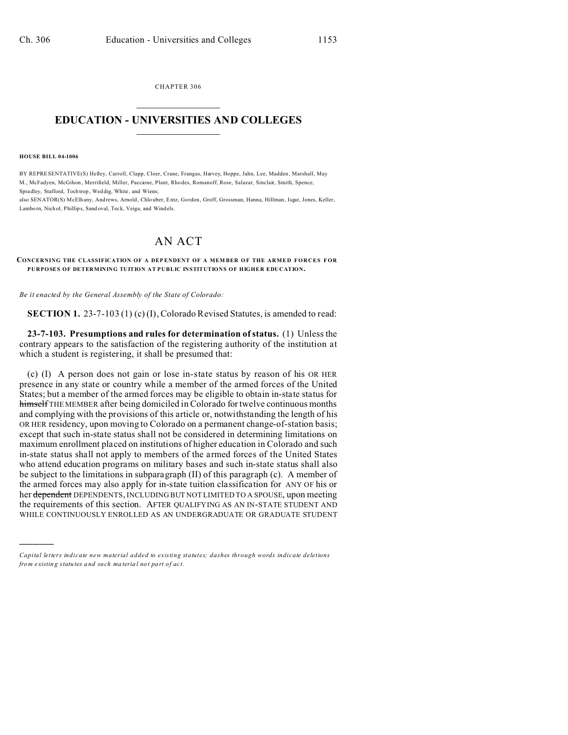CHAPTER 306  $\overline{\phantom{a}}$  , where  $\overline{\phantom{a}}$ 

## **EDUCATION - UNIVERSITIES AND COLLEGES**  $\frac{1}{2}$

## **HOUSE BILL 04-1006**

)))))

BY REPRESENTATIVE(S) Hefley, Carroll, Clapp, Cloer, Crane, Frangas, Harvey, Hoppe, Jahn, Lee, Madden, Marshall, May M., McFadyen, McGihon , Merrifield, Miller, Paccione, Plant, Rho des, Romanoff, Rose, Salazar, Sinclair, Smith, Spence, Spradley, Stafford, Toch trop , Weddig, White, and Wiens;

also SENATOR(S) McElhany, Andrews, Arnold , Chlo uber, Entz, Gordon, Groff, Grossman, Hanna, Hillman, Isgar, Jones, Keller, Lambo rn, Nich ol, Phillips, Sand oval, Teck, Veiga, and Windels.

## AN ACT

**CONCERNING THE CLASSIFICATION OF A DEP ENDENT OF A MEM BER O F THE ARMED FORCES FOR PURPOSES OF DETERMINING TUITION AT PUBLIC INSTITUTIONS OF HIGHER EDUCATION.**

*Be it enacted by the General Assembly of the State of Colorado:*

**SECTION 1.** 23-7-103 (1) (c) (I), Colorado Revised Statutes, is amended to read:

**23-7-103. Presumptions and rules for determination of status.** (1) Unless the contrary appears to the satisfaction of the registering authority of the institution at which a student is registering, it shall be presumed that:

(c) (I) A person does not gain or lose in-state status by reason of his OR HER presence in any state or country while a member of the armed forces of the United States; but a member of the armed forces may be eligible to obtain in-state status for himself THE MEMBER after being domiciled in Colorado for twelve continuous months and complying with the provisions of this article or, notwithstanding the length of his OR HER residency, upon moving to Colorado on a permanent change-of-station basis; except that such in-state status shall not be considered in determining limitations on maximum enrollment placed on institutions of higher education in Colorado and such in-state status shall not apply to members of the armed forces of the United States who attend education programs on military bases and such in-state status shall also be subject to the limitations in subparagraph (II) of this paragraph (c). A member of the armed forces may also apply for in-state tuition classification for ANY OF his or her dependent DEPENDENTS, INCLUDING BUT NOT LIMITED TO A SPOUSE, upon meeting the requirements of this section. AFTER QUALIFYING AS AN IN-STATE STUDENT AND WHILE CONTINUOUSLY ENROLLED AS AN UNDERGRADUATE OR GRADUATE STUDENT

*Capital letters indicate new material added to existing statutes; dashes through words indicate deletions from e xistin g statu tes a nd such ma teria l no t pa rt of ac t.*